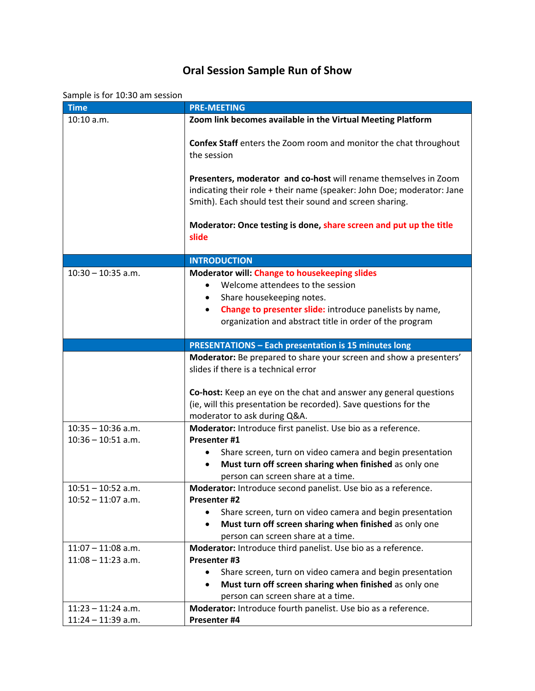## **Oral Session Sample Run of Show**

Sample is for 10:30 am session

| <b>Time</b>          | <b>PRE-MEETING</b>                                                                  |
|----------------------|-------------------------------------------------------------------------------------|
| 10:10 a.m.           | Zoom link becomes available in the Virtual Meeting Platform                         |
|                      |                                                                                     |
|                      | Confex Staff enters the Zoom room and monitor the chat throughout                   |
|                      | the session                                                                         |
|                      |                                                                                     |
|                      | Presenters, moderator and co-host will rename themselves in Zoom                    |
|                      | indicating their role + their name (speaker: John Doe; moderator: Jane              |
|                      | Smith). Each should test their sound and screen sharing.                            |
|                      |                                                                                     |
|                      | Moderator: Once testing is done, share screen and put up the title                  |
|                      | slide                                                                               |
|                      |                                                                                     |
|                      | <b>INTRODUCTION</b>                                                                 |
| $10:30 - 10:35$ a.m. | Moderator will: Change to housekeeping slides                                       |
|                      | Welcome attendees to the session<br>$\bullet$                                       |
|                      |                                                                                     |
|                      | Share housekeeping notes.<br>٠                                                      |
|                      | Change to presenter slide: introduce panelists by name,<br>$\bullet$                |
|                      | organization and abstract title in order of the program                             |
|                      | <b>PRESENTATIONS - Each presentation is 15 minutes long</b>                         |
|                      | Moderator: Be prepared to share your screen and show a presenters'                  |
|                      | slides if there is a technical error                                                |
|                      |                                                                                     |
|                      | Co-host: Keep an eye on the chat and answer any general questions                   |
|                      | (ie, will this presentation be recorded). Save questions for the                    |
|                      | moderator to ask during Q&A.                                                        |
| $10:35 - 10:36$ a.m. | Moderator: Introduce first panelist. Use bio as a reference.                        |
| $10:36 - 10:51$ a.m. | Presenter #1                                                                        |
|                      | Share screen, turn on video camera and begin presentation<br>$\bullet$              |
|                      | Must turn off screen sharing when finished as only one<br>$\bullet$                 |
|                      | person can screen share at a time.                                                  |
| $10:51 - 10:52$ a.m. |                                                                                     |
| $10:52 - 11:07$ a.m. | Moderator: Introduce second panelist. Use bio as a reference<br><b>Presenter #2</b> |
|                      |                                                                                     |
|                      | Share screen, turn on video camera and begin presentation                           |
|                      | Must turn off screen sharing when finished as only one<br>$\bullet$                 |
|                      | person can screen share at a time.                                                  |
| $11:07 - 11:08$ a.m. | Moderator: Introduce third panelist. Use bio as a reference.                        |
| $11:08 - 11:23$ a.m. | Presenter #3                                                                        |
|                      | Share screen, turn on video camera and begin presentation<br>$\bullet$              |
|                      | Must turn off screen sharing when finished as only one<br>$\bullet$                 |
|                      | person can screen share at a time.                                                  |
| $11:23 - 11:24$ a.m. | Moderator: Introduce fourth panelist. Use bio as a reference.                       |
| $11:24 - 11:39$ a.m. | Presenter #4                                                                        |